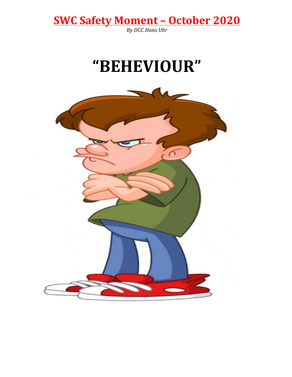**SWC Safety Moment - October 2020**<br>By DCC Hans Uhr

## "BEHEVIOUR"

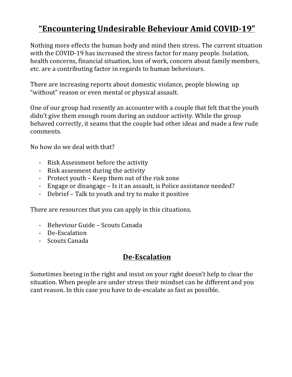## **"Encountering Undesirable Beheviour Amid COVID-19"**

Nothing more effects the human body and mind then stress. The current situation with the COVID-19 has increased the stress factor for many people. Isolation, health concerns, financial situation, loss of work, concern about family members, etc. are a contributing factor in regards to human beheviours.

There are increasing reports about domestic violance, people blowing up "without" reason or even mental or physical assault.

One of our group had resently an accounter with a couple that felt that the youth didn't give them enough room during an outdoor activity. While the group behaved correctly, it seams that the couple had other ideas and made a few rude comments.

No how do we deal with that?

- Risk Assessment before the activity
- Risk assesment during the activity
- Protect vouth Keep them out of the risk zone
- Engage or disangage Is it an assault, is Police assistance needed?
- Debrief Talk to youth and try to make it positive

There are resources that you can apply in this cituations.

- Beheviour Guide Scouts Canada
- De-Escalation
- Scouts Canada

#### **De-Escalation**

Sometimes beeing in the right and insist on your right doesn't help to clear the situation. When people are under stress their mindset can be different and you cant reason. In this case you have to de-escalate as fast as possible.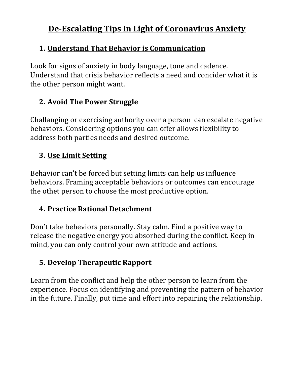## **De-Escalating Tips In Light of Coronavirus Anxiety**

#### **1. Understand That Behavior is Communication**

Look for signs of anxiety in body language, tone and cadence. Understand that crisis behavior reflects a need and concider what it is the other person might want.

#### **2. Avoid The Power Struggle**

Challanging or exercising authority over a person can escalate negative behaviors. Considering options you can offer allows flexibility to address both parties needs and desired outcome.

#### **3. Use Limit Setting**

Behavior can't be forced but setting limits can help us influence behaviors. Framing acceptable behaviors or outcomes can encourage the othet person to choose the most productive option.

#### **4. Practice Rational Detachment**

Don't take beheviors personally. Stay calm. Find a positive way to release the negative energy you absorbed during the conflict. Keep in mind, you can only control your own attitude and actions.

### **5. Develop Therapeutic Rapport**

Learn from the conflict and help the other person to learn from the experience. Focus on identifying and preventing the pattern of behavior in the future. Finally, put time and effort into repairing the relationship.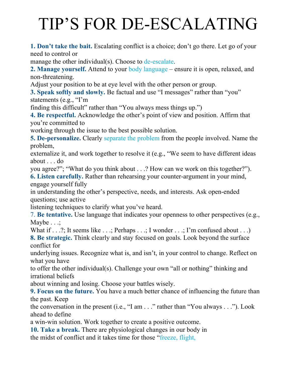# TIP'S FOR DE-ESCALATING

**1. Don't take the bait.** Escalating conflict is a choice; don't go there. Let go of your need to control or

manage the other individual(s). Choose to de-escalate.

**2. Manage yourself.** Attend to your body language – ensure it is open, relaxed, and non-threatening.

Adjust your position to be at eye level with the other person or group.

**3. Speak softly and slowly.** Be factual and use "I messages" rather than "you" statements (e.g., "I'm

finding this difficult" rather than "You always mess things up.")

**4. Be respectful.** Acknowledge the other's point of view and position. Affirm that you're committed to

working through the issue to the best possible solution.

**5. De-personalize.** Clearly separate the problem from the people involved. Name the problem,

externalize it, and work together to resolve it (e.g., "We seem to have different ideas about . . . do

you agree?"; "What do you think about . . .? How can we work on this together?").

**6. Listen carefully.** Rather than rehearsing your counter-argument in your mind, engage yourself fully

in understanding the other's perspective, needs, and interests. Ask open-ended questions; use active

listening techniques to clarify what you've heard.

7. **Be tentative.** Use language that indicates your openness to other perspectives (e.g., Maybe  $\ldots$ ;

What if  $\dots$ ?; It seems like  $\dots$ ; Perhaps  $\dots$ ; I wonder  $\dots$ ; I'm confused about  $\dots$ ) **8. Be strategic.** Think clearly and stay focused on goals. Look beyond the surface conflict for

underlying issues. Recognize what is, and isn't, in your control to change. Reflect on what you have

to offer the other individual(s). Challenge your own "all or nothing" thinking and irrational beliefs

about winning and losing. Choose your battles wisely.

**9. Focus on the future.** You have a much better chance of influencing the future than the past. Keep

the conversation in the present (i.e., "I am . . ." rather than "You always . . ."). Look ahead to define

a win-win solution. Work together to create a positive outcome.

**10. Take a break.** There are physiological changes in our body in the midst of conflict and it takes time for those "freeze, flight,